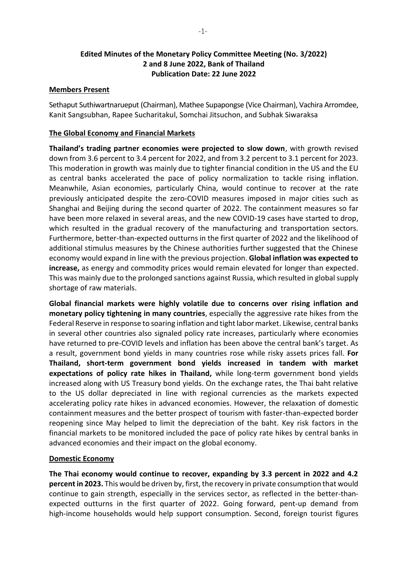# **Edited Minutes of the Monetary Policy Committee Meeting (No. 3/2022) 2 and 8 June 2022, Bank of Thailand Publication Date: 22 June 2022**

### **Members Present**

Sethaput Suthiwartnarueput (Chairman), Mathee Supapongse (Vice Chairman), Vachira Arromdee, Kanit Sangsubhan, Rapee Sucharitakul, Somchai Jitsuchon, and Subhak Siwaraksa

### **The Global Economy and Financial Markets**

**Thailand's trading partner economies were projected to slow down**, with growth revised down from 3.6 percent to 3.4 percent for 2022, and from 3.2 percent to 3.1 percent for 2023. This moderation in growth was mainly due to tighter financial condition in the US and the EU as central banks accelerated the pace of policy normalization to tackle rising inflation. Meanwhile, Asian economies, particularly China, would continue to recover at the rate previously anticipated despite the zero-COVID measures imposed in major cities such as Shanghai and Beijing during the second quarter of 2022. The containment measures so far have been more relaxed in several areas, and the new COVID-19 cases have started to drop, which resulted in the gradual recovery of the manufacturing and transportation sectors. Furthermore, better-than-expected outturns in the first quarter of 2022 and the likelihood of additional stimulus measures by the Chinese authorities further suggested that the Chinese economy would expand in line with the previous projection. **Global inflation was expected to increase,** as energy and commodity prices would remain elevated for longer than expected. This was mainly due to the prolonged sanctions against Russia, which resulted in global supply shortage of raw materials.

**Global financial markets were highly volatile due to concerns over rising inflation and monetary policy tightening in many countries**, especially the aggressive rate hikes from the Federal Reserve in response to soaring inflation and tight labor market. Likewise, central banks in several other countries also signaled policy rate increases, particularly where economies have returned to pre-COVID levels and inflation has been above the central bank's target. As a result, government bond yields in many countries rose while risky assets prices fall. **For Thailand, short-term government bond yields increased in tandem with market expectations of policy rate hikes in Thailand,** while long-term government bond yields increased along with US Treasury bond yields. On the exchange rates, the Thai baht relative to the US dollar depreciated in line with regional currencies as the markets expected accelerating policy rate hikes in advanced economies. However, the relaxation of domestic containment measures and the better prospect of tourism with faster-than-expected border reopening since May helped to limit the depreciation of the baht. Key risk factors in the financial markets to be monitored included the pace of policy rate hikes by central banks in advanced economies and their impact on the global economy.

#### **Domestic Economy**

**The Thai economy would continue to recover, expanding by 3.3 percent in 2022 and 4.2 percent in 2023.** This would be driven by, first, the recovery in private consumption that would continue to gain strength, especially in the services sector, as reflected in the better-thanexpected outturns in the first quarter of 2022. Going forward, pent-up demand from high-income households would help support consumption. Second, foreign tourist figures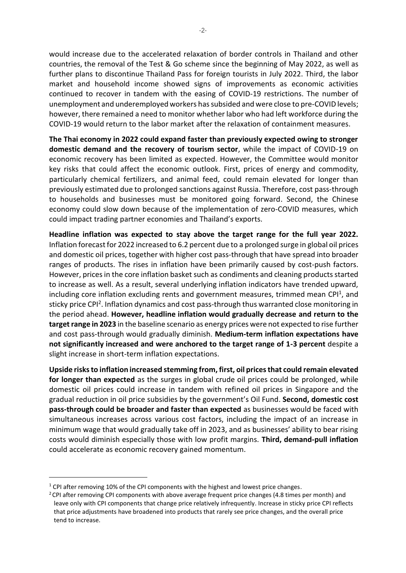would increase due to the accelerated relaxation of border controls in Thailand and other countries, the removal of the Test & Go scheme since the beginning of May 2022, as well as further plans to discontinue Thailand Pass for foreign tourists in July 2022. Third, the labor market and household income showed signs of improvements as economic activities continued to recover in tandem with the easing of COVID-19 restrictions. The number of unemployment and underemployed workers has subsided and were close to pre-COVID levels; however, there remained a need to monitor whether labor who had left workforce during the COVID-19 would return to the labor market after the relaxation of containment measures.

**The Thai economy in 2022 could expand faster than previously expected owing to stronger domestic demand and the recovery of tourism sector**, while the impact of COVID-19 on economic recovery has been limited as expected. However, the Committee would monitor key risks that could affect the economic outlook. First, prices of energy and commodity, particularly chemical fertilizers, and animal feed, could remain elevated for longer than previously estimated due to prolonged sanctions against Russia. Therefore, cost pass-through to households and businesses must be monitored going forward. Second, the Chinese economy could slow down because of the implementation of zero-COVID measures, which could impact trading partner economies and Thailand's exports.

**Headline inflation was expected to stay above the target range for the full year 2022.**  Inflation forecast for 2022 increased to 6.2 percent due to a prolonged surge in global oil prices and domestic oil prices, together with higher cost pass-through that have spread into broader ranges of products. The rises in inflation have been primarily caused by cost-push factors. However, prices in the core inflation basket such as condiments and cleaning productsstarted to increase as well. As a result, several underlying inflation indicators have trended upward, including core inflation excluding rents and government measures, trimmed mean CPI<sup>1</sup>, and sticky price CPI<sup>2</sup>. Inflation dynamics and cost pass-through thus warranted close monitoring in the period ahead. **However, headline inflation would gradually decrease and return to the target range in 2023** in the baseline scenario as energy prices were not expected to rise further and cost pass-through would gradually diminish. **Medium-term inflation expectations have not significantly increased and were anchored to the target range of 1-3 percent** despite a slight increase in short-term inflation expectations.

**Upside risks to inflation increased stemming from, first, oil pricesthat could remain elevated for longer than expected** as the surges in global crude oil prices could be prolonged, while domestic oil prices could increase in tandem with refined oil prices in Singapore and the gradual reduction in oil price subsidies by the government's Oil Fund. **Second, domestic cost pass-through could be broader and faster than expected** as businesses would be faced with simultaneous increases across various cost factors, including the impact of an increase in minimum wage that would gradually take off in 2023, and as businesses' ability to bear rising costs would diminish especially those with low profit margins. **Third, demand-pull inflation**  could accelerate as economic recovery gained momentum.

 $1$  CPI after removing 10% of the CPI components with the highest and lowest price changes.

 $2$  CPI after removing CPI components with above average frequent price changes (4.8 times per month) and leave only with CPI components that change price relatively infrequently. Increase in sticky price CPI reflects that price adjustments have broadened into products that rarely see price changes, and the overall price tend to increase.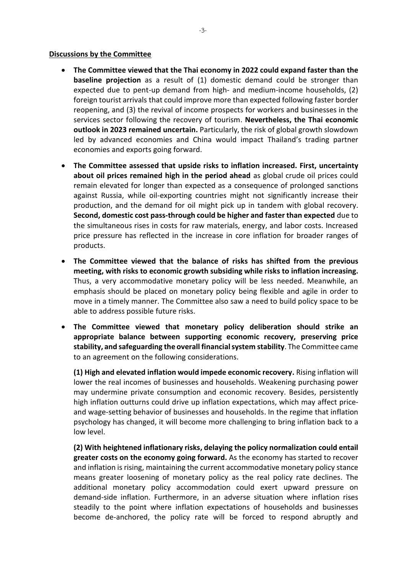#### **Discussions by the Committee**

- **The Committee viewed that the Thai economy in 2022 could expand faster than the baseline projection** as a result of (1) domestic demand could be stronger than expected due to pent-up demand from high- and medium-income households, (2) foreign tourist arrivals that could improve more than expected following faster border reopening, and (3) the revival of income prospects for workers and businesses in the services sector following the recovery of tourism. **Nevertheless, the Thai economic outlook in 2023 remained uncertain.** Particularly, the risk of global growth slowdown led by advanced economies and China would impact Thailand's trading partner economies and exports going forward.
- **The Committee assessed that upside risks to inflation increased. First, uncertainty about oil prices remained high in the period ahead** as global crude oil prices could remain elevated for longer than expected as a consequence of prolonged sanctions against Russia, while oil-exporting countries might not significantly increase their production, and the demand for oil might pick up in tandem with global recovery. **Second, domestic cost pass-through could be higher and faster than expected** due to the simultaneous rises in costs for raw materials, energy, and labor costs. Increased price pressure has reflected in the increase in core inflation for broader ranges of products.
- **The Committee viewed that the balance of risks has shifted from the previous meeting, with risks to economic growth subsiding while risks to inflation increasing.** Thus, a very accommodative monetary policy will be less needed. Meanwhile, an emphasis should be placed on monetary policy being flexible and agile in order to move in a timely manner. The Committee also saw a need to build policy space to be able to address possible future risks.
- **The Committee viewed that monetary policy deliberation should strike an appropriate balance between supporting economic recovery, preserving price stability, and safeguarding the overall financial system stability**. The Committee came to an agreement on the following considerations.

**(1) High and elevated inflation would impede economic recovery.** Rising inflation will lower the real incomes of businesses and households. Weakening purchasing power may undermine private consumption and economic recovery. Besides, persistently high inflation outturns could drive up inflation expectations, which may affect priceand wage-setting behavior of businesses and households. In the regime that inflation psychology has changed, it will become more challenging to bring inflation back to a low level.

**(2) With heightened inflationary risks, delaying the policy normalization could entail greater costs on the economy going forward.** As the economy has started to recover and inflation is rising, maintaining the current accommodative monetary policy stance means greater loosening of monetary policy as the real policy rate declines. The additional monetary policy accommodation could exert upward pressure on demand-side inflation. Furthermore, in an adverse situation where inflation rises steadily to the point where inflation expectations of households and businesses become de-anchored, the policy rate will be forced to respond abruptly and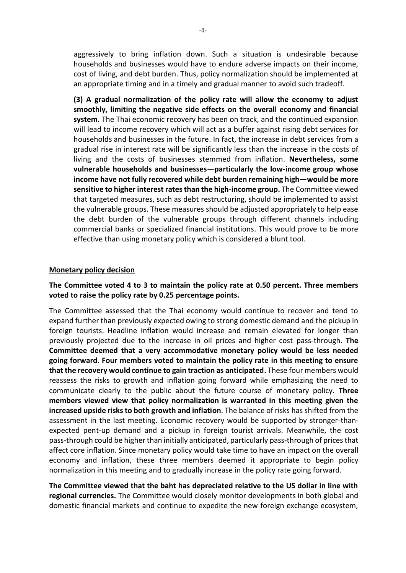aggressively to bring inflation down. Such a situation is undesirable because households and businesses would have to endure adverse impacts on their income, cost of living, and debt burden. Thus, policy normalization should be implemented at an appropriate timing and in a timely and gradual manner to avoid such tradeoff.

**(3) A gradual normalization of the policy rate will allow the economy to adjust smoothly, limiting the negative side effects on the overall economy and financial system.** The Thai economic recovery has been on track, and the continued expansion will lead to income recovery which will act as a buffer against rising debt services for households and businesses in the future. In fact, the increase in debt services from a gradual rise in interest rate will be significantly less than the increase in the costs of living and the costs of businesses stemmed from inflation. **Nevertheless, some vulnerable households and businesses—particularly the low-income group whose income have not fully recovered while debt burden remaining high—would be more**  sensitive to higher interest rates than the high-income group. The Committee viewed that targeted measures, such as debt restructuring, should be implemented to assist the vulnerable groups. These measures should be adjusted appropriately to help ease the debt burden of the vulnerable groups through different channels including commercial banks or specialized financial institutions. This would prove to be more effective than using monetary policy which is considered a blunt tool.

#### **Monetary policy decision**

## **The Committee voted 4 to 3 to maintain the policy rate at 0.50 percent. Three members voted to raise the policy rate by 0.25 percentage points.**

The Committee assessed that the Thai economy would continue to recover and tend to expand further than previously expected owing to strong domestic demand and the pickup in foreign tourists. Headline inflation would increase and remain elevated for longer than previously projected due to the increase in oil prices and higher cost pass-through. **The Committee deemed that a very accommodative monetary policy would be less needed going forward. Four members voted to maintain the policy rate in this meeting to ensure that the recovery would continue to gain traction as anticipated.** These four members would reassess the risks to growth and inflation going forward while emphasizing the need to communicate clearly to the public about the future course of monetary policy. **Three members viewed view that policy normalization is warranted in this meeting given the increased upside risks to both growth and inflation**. The balance of risks has shifted from the assessment in the last meeting. Economic recovery would be supported by stronger-thanexpected pent-up demand and a pickup in foreign tourist arrivals. Meanwhile, the cost pass-through could be higher than initially anticipated, particularly pass-through of pricesthat affect core inflation. Since monetary policy would take time to have an impact on the overall economy and inflation, these three members deemed it appropriate to begin policy normalization in this meeting and to gradually increase in the policy rate going forward.

**The Committee viewed that the baht has depreciated relative to the US dollar in line with regional currencies.** The Committee would closely monitor developments in both global and domestic financial markets and continue to expedite the new foreign exchange ecosystem,